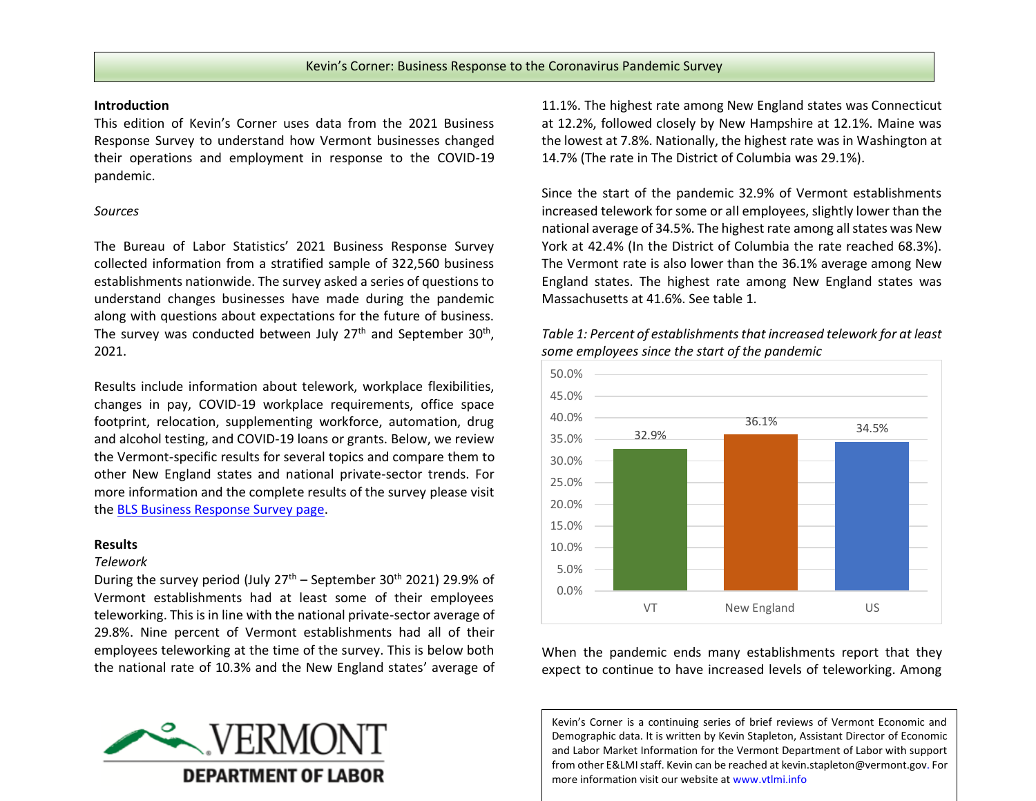#### **Introduction**

This edition of Kevin's Corner uses data from the 2021 Business Response Survey to understand how Vermont businesses changed their operations and employment in response to the COVID-19 pandemic.

### *Sources*

The Bureau of Labor Statistics' 2021 Business Response Survey collected information from a stratified sample of 322,560 business establishments nationwide. The survey asked a series of questions to understand changes businesses have made during the pandemic along with questions about expectations for the future of business. The survey was conducted between July 27<sup>th</sup> and September 30<sup>th</sup>, 2021.

Results include information about telework, workplace flexibilities, changes in pay, COVID-19 workplace requirements, office space footprint, relocation, supplementing workforce, automation, drug and alcohol testing, and COVID-19 loans or grants. Below, we review the Vermont-specific results for several topics and compare them to other New England states and national private-sector trends. For more information and the complete results of the survey please visit th[e BLS Business Response Survey page.](https://www.bls.gov/brs/)

### **Results**

### *Telework*

During the survey period (July  $27<sup>th</sup>$  – September 30<sup>th</sup> 2021) 29.9% of Vermont establishments had at least some of their employees teleworking. This is in line with the national private-sector average of 29.8%. Nine percent of Vermont establishments had all of their employees teleworking at the time of the survey. This is below both the national rate of 10.3% and the New England states' average of



11.1%. The highest rate among New England states was Connecticut at 12.2%, followed closely by New Hampshire at 12.1%. Maine was the lowest at 7.8%. Nationally, the highest rate was in Washington at 14.7% (The rate in The District of Columbia was 29.1%).

Since the start of the pandemic 32.9% of Vermont establishments increased telework for some or all employees, slightly lower than the national average of 34.5%. The highest rate among all states was New York at 42.4% (In the District of Columbia the rate reached 68.3%). The Vermont rate is also lower than the 36.1% average among New England states. The highest rate among New England states was Massachusetts at 41.6%. See table 1.



*Table 1: Percent of establishments that increased telework for at least some employees since the start of the pandemic*

When the pandemic ends many establishments report that they expect to continue to have increased levels of teleworking. Among

Kevin's Corner is a continuing series of brief reviews of Vermont Economic and Demographic data. It is written by Kevin Stapleton, Assistant Director of Economic and Labor Market Information for the Vermont Department of Labor with support from other E&LMI staff. Kevin can be reached a[t kevin.stapleton@vermont.gov.](mailto:kevin.stapleton@vermont.gov) For more information visit our website at www.vtlmi.info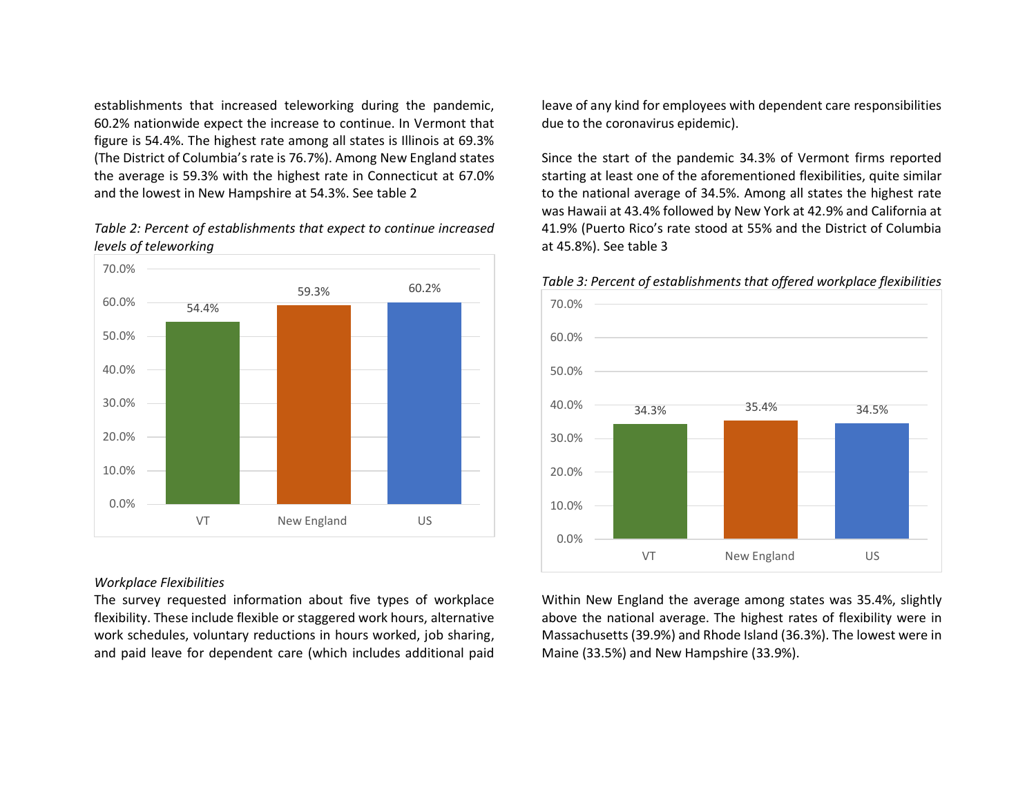establishments that increased teleworking during the pandemic, 60.2% nationwide expect the increase to continue. In Vermont that figure is 54.4%. The highest rate among all states is Illinois at 69.3% (The District of Columbia's rate is 76.7%). Among New England states the average is 59.3% with the highest rate in Connecticut at 67.0% and the lowest in New Hampshire at 54.3%. See table 2

# *Table 2: Percent of establishments that expect to continue increased levels of teleworking*



## *Workplace Flexibilities*

The survey requested information about five types of workplace flexibility. These include flexible or staggered work hours, alternative work schedules, voluntary reductions in hours worked, job sharing, and paid leave for dependent care (which includes additional paid leave of any kind for employees with dependent care responsibilities due to the coronavirus epidemic).

Since the start of the pandemic 34.3% of Vermont firms reported starting at least one of the aforementioned flexibilities, quite similar to the national average of 34.5%. Among all states the highest rate was Hawaii at 43.4% followed by New York at 42.9% and California at 41.9% (Puerto Rico's rate stood at 55% and the District of Columbia at 45.8%). See table 3



*Table 3: Percent of establishments that offered workplace flexibilities* 

Within New England the average among states was 35.4%, slightly above the national average. The highest rates of flexibility were in Massachusetts (39.9%) and Rhode Island (36.3%). The lowest were in Maine (33.5%) and New Hampshire (33.9%).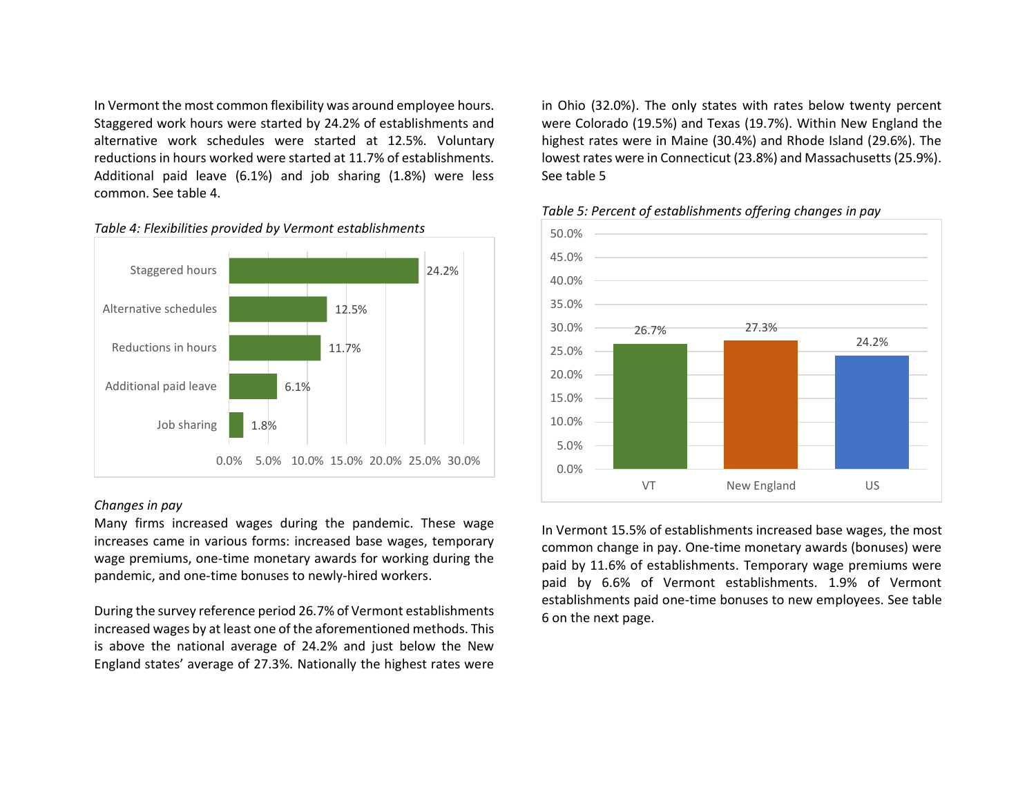In Vermont the most common flexibility was around employee hours. Staggered work hours were started by 24.2% of establishments and alternative work schedules were started at 12.5%. Voluntary reductions in hours worked were started at 11.7% of establishments. Additional paid leave (6.1%) and job sharing (1.8%) were less common. See table 4.



# *Table 4: Flexibilities provided by Vermont establishments*

# *Changes in pay*

Many firms increased wages during the pandemic. These wage increases came in various forms: increased base wages, temporary wage premiums, one-time monetary awards for working during the pandemic, and one-time bonuses to newly-hired workers.

During the survey reference period 26.7% of Vermont establishments increased wages by at least one of the aforementioned methods. This is above the national average of 24.2% and just below the New England states' average of 27.3%. Nationally the highest rates were

in Ohio (32.0%). The only states with rates below twenty percent were Colorado (19.5%) and Texas (19.7%). Within New England the highest rates were in Maine (30.4%) and Rhode Island (29.6%). The lowest rates were in Connecticut (23.8%) and Massachusetts (25.9%). See table 5



# *Table 5: Percent of establishments offering changes in pay*

In Vermont 15.5% of establishments increased base wages, the most common change in pay. One-time monetary awards (bonuses) were paid by 11.6% of establishments. Temporary wage premiums were paid by 6.6% of Vermont establishments. 1.9% of Vermont establishments paid one-time bonuses to new employees. See table 6 on the next page.